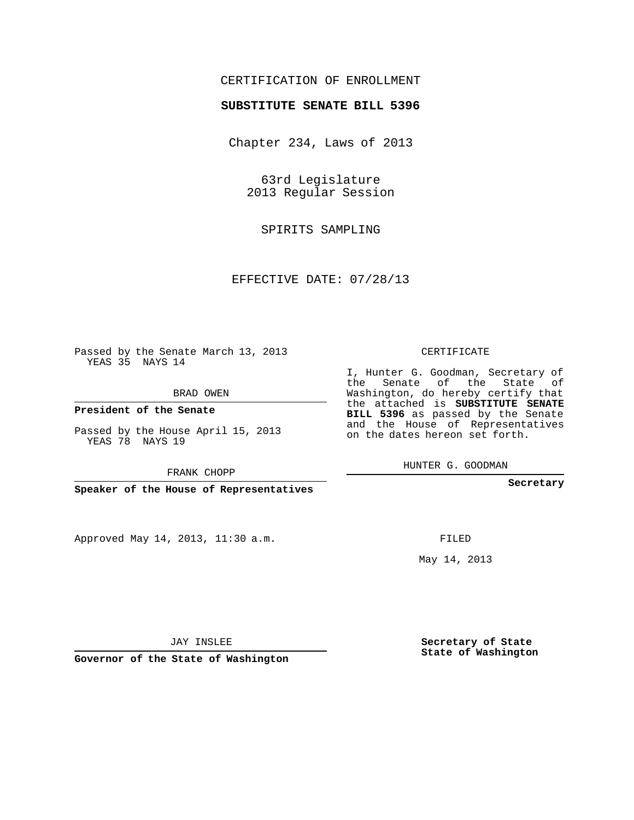### CERTIFICATION OF ENROLLMENT

### **SUBSTITUTE SENATE BILL 5396**

Chapter 234, Laws of 2013

63rd Legislature 2013 Regular Session

SPIRITS SAMPLING

EFFECTIVE DATE: 07/28/13

Passed by the Senate March 13, 2013 YEAS 35 NAYS 14

BRAD OWEN

**President of the Senate**

Passed by the House April 15, 2013 YEAS 78 NAYS 19

FRANK CHOPP

**Speaker of the House of Representatives**

Approved May 14, 2013, 11:30 a.m.

CERTIFICATE

I, Hunter G. Goodman, Secretary of the Senate of the State of Washington, do hereby certify that the attached is **SUBSTITUTE SENATE BILL 5396** as passed by the Senate and the House of Representatives on the dates hereon set forth.

HUNTER G. GOODMAN

**Secretary**

FILED

May 14, 2013

**Secretary of State State of Washington**

JAY INSLEE

**Governor of the State of Washington**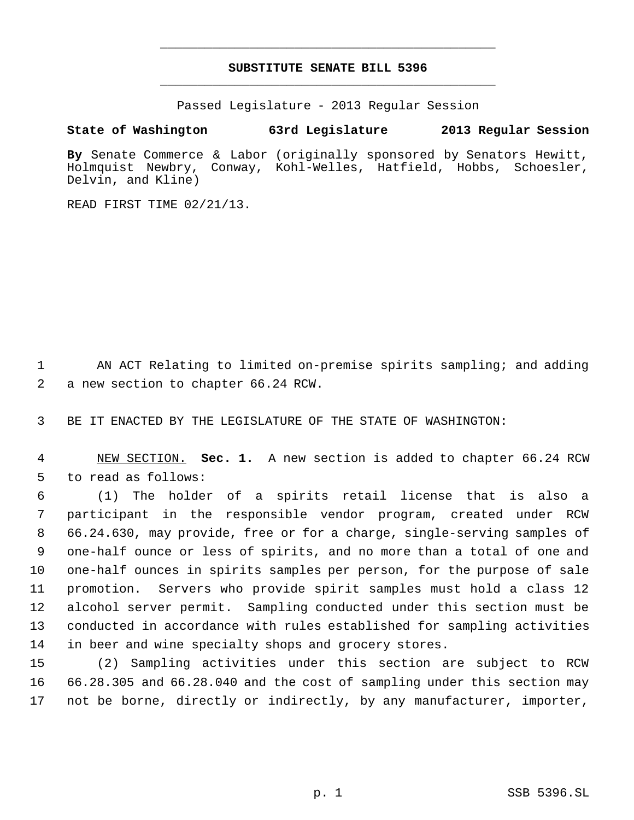# **SUBSTITUTE SENATE BILL 5396** \_\_\_\_\_\_\_\_\_\_\_\_\_\_\_\_\_\_\_\_\_\_\_\_\_\_\_\_\_\_\_\_\_\_\_\_\_\_\_\_\_\_\_\_\_

\_\_\_\_\_\_\_\_\_\_\_\_\_\_\_\_\_\_\_\_\_\_\_\_\_\_\_\_\_\_\_\_\_\_\_\_\_\_\_\_\_\_\_\_\_

Passed Legislature - 2013 Regular Session

## **State of Washington 63rd Legislature 2013 Regular Session**

**By** Senate Commerce & Labor (originally sponsored by Senators Hewitt, Holmquist Newbry, Conway, Kohl-Welles, Hatfield, Hobbs, Schoesler, Delvin, and Kline)

READ FIRST TIME 02/21/13.

 AN ACT Relating to limited on-premise spirits sampling; and adding a new section to chapter 66.24 RCW.

BE IT ENACTED BY THE LEGISLATURE OF THE STATE OF WASHINGTON:

 NEW SECTION. **Sec. 1.** A new section is added to chapter 66.24 RCW to read as follows:

 (1) The holder of a spirits retail license that is also a participant in the responsible vendor program, created under RCW 66.24.630, may provide, free or for a charge, single-serving samples of one-half ounce or less of spirits, and no more than a total of one and one-half ounces in spirits samples per person, for the purpose of sale promotion. Servers who provide spirit samples must hold a class 12 alcohol server permit. Sampling conducted under this section must be conducted in accordance with rules established for sampling activities in beer and wine specialty shops and grocery stores.

 (2) Sampling activities under this section are subject to RCW 66.28.305 and 66.28.040 and the cost of sampling under this section may not be borne, directly or indirectly, by any manufacturer, importer,